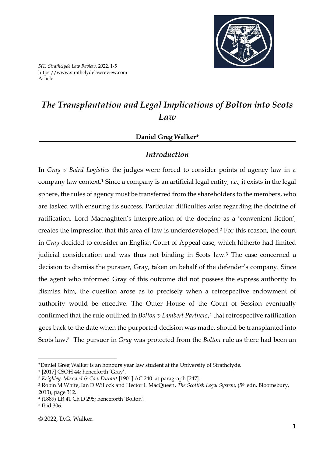

# *The Transplantation and Legal Implications of Bolton into Scots Law*

### **Daniel Greg Walker\***

### *Introduction*

In *Gray v Baird Logistics* the judges were forced to consider points of agency law in a company law context. <sup>1</sup> Since a company is an artificial legal entity, *i.e*., it exists in the legal sphere, the rules of agency must be transferred from the shareholders to the members, who are tasked with ensuring its success. Particular difficulties arise regarding the doctrine of ratification. Lord Macnaghten's interpretation of the doctrine as a 'convenient fiction', creates the impression that this area of law is underdeveloped.<sup>2</sup> For this reason, the court in *Gray* decided to consider an English Court of Appeal case, which hitherto had limited judicial consideration and was thus not binding in Scots law.<sup>3</sup> The case concerned a decision to dismiss the pursuer, Gray, taken on behalf of the defender's company. Since the agent who informed Gray of this outcome did not possess the express authority to dismiss him, the question arose as to precisely when a retrospective endowment of authority would be effective. The Outer House of the Court of Session eventually confirmed that the rule outlined in *Bolton v Lambert Partners*, 4 that retrospective ratification goes back to the date when the purported decision was made, should be transplanted into Scots law. <sup>5</sup> The pursuer in *Gray* was protected from the *Bolton* rule as there had been an

<sup>\*</sup>Daniel Greg Walker is an honours year law student at the University of Strathclyde.

<sup>1</sup> [2017] CSOH 44; henceforth 'Gray'.

<sup>2</sup> *Keighley, Maxsted & Co v Durant* [1901] AC 240 at paragraph [247].

<sup>3</sup> Robin M White, Ian D Willock and Hector L MacQueen, *The Scottish Legal System*, (5th edn, Bloomsbury, 2013), page 312.

<sup>4</sup> (1889) LR 41 Ch D 295; henceforth 'Bolton'.

<sup>5</sup> Ibid 306.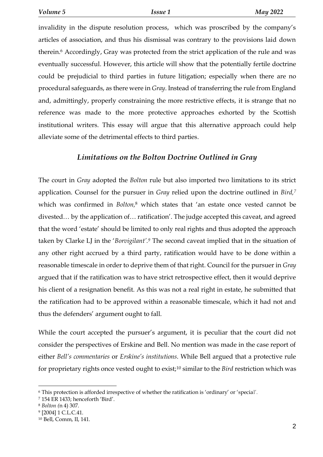invalidity in the dispute resolution process, which was proscribed by the company's articles of association, and thus his dismissal was contrary to the provisions laid down therein.<sup>6</sup> Accordingly, Gray was protected from the strict application of the rule and was eventually successful. However, this article will show that the potentially fertile doctrine could be prejudicial to third parties in future litigation; especially when there are no procedural safeguards, as there were in *Gray*. Instead of transferring the rule from England and, admittingly, properly constraining the more restrictive effects, it is strange that no reference was made to the more protective approaches exhorted by the Scottish institutional writers. This essay will argue that this alternative approach could help alleviate some of the detrimental effects to third parties.

# *Limitations on the Bolton Doctrine Outlined in Gray*

The court in *Gray* adopted the *Bolton* rule but also imported two limitations to its strict application. Counsel for the pursuer in *Gray* relied upon the doctrine outlined in *Bird, 7* which was confirmed in *Bolton,*<sup>8</sup> which states that 'an estate once vested cannot be divested… by the application of… ratification'. The judge accepted this caveat, and agreed that the word 'estate' should be limited to only real rights and thus adopted the approach taken by Clarke LJ in the '*Borvigilant'. <sup>9</sup>* The second caveat implied that in the situation of any other right accrued by a third party, ratification would have to be done within a reasonable timescale in order to deprive them of that right. Council for the pursuer in *Gray* argued that if the ratification was to have strict retrospective effect, then it would deprive his client of a resignation benefit. As this was not a real right in estate, he submitted that the ratification had to be approved within a reasonable timescale, which it had not and thus the defenders' argument ought to fall.

While the court accepted the pursuer's argument, it is peculiar that the court did not consider the perspectives of Erskine and Bell. No mention was made in the case report of either *Bell's commentaries* or *Erskine's institutions*. While Bell argued that a protective rule for proprietary rights once vested ought to exist;<sup>10</sup> similar to the *Bird* restriction which was

<sup>6</sup> This protection is afforded irrespective of whether the ratification is 'ordinary' or 'special'.

<sup>7</sup> 154 ER 1433; henceforth 'Bird'.

<sup>8</sup> *Bolton (*n 4) 307.

<sup>9</sup> [2004] 1 C.L.C.41.

<sup>10</sup> Bell, Comm, II, 141.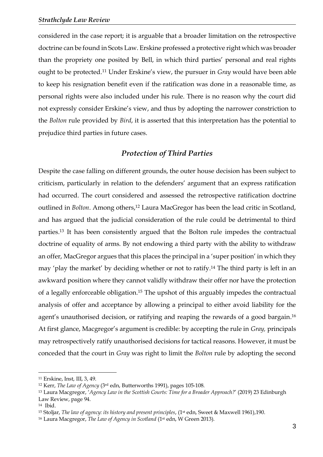considered in the case report; it is arguable that a broader limitation on the retrospective doctrine can be found in Scots Law. Erskine professed a protective right which was broader than the propriety one posited by Bell, in which third parties' personal and real rights ought to be protected. <sup>11</sup> Under Erskine's view, the pursuer in *Gray* would have been able to keep his resignation benefit even if the ratification was done in a reasonable time, as personal rights were also included under his rule. There is no reason why the court did not expressly consider Erskine's view, and thus by adopting the narrower constriction to the *Bolton* rule provided by *Bird*, it is asserted that this interpretation has the potential to prejudice third parties in future cases.

# *Protection of Third Parties*

Despite the case falling on different grounds, the outer house decision has been subject to criticism, particularly in relation to the defenders' argument that an express ratification had occurred. The court considered and assessed the retrospective ratification doctrine outlined in *Bolton*. Among others,<sup>12</sup> Laura MacGregor has been the lead critic in Scotland, and has argued that the judicial consideration of the rule could be detrimental to third parties. <sup>13</sup> It has been consistently argued that the Bolton rule impedes the contractual doctrine of equality of arms. By not endowing a third party with the ability to withdraw an offer, MacGregor argues that this places the principal in a 'super position' in which they may 'play the market' by deciding whether or not to ratify.<sup>14</sup> The third party is left in an awkward position where they cannot validly withdraw their offer nor have the protection of a legally enforceable obligation.<sup>15</sup> The upshot of this arguably impedes the contractual analysis of offer and acceptance by allowing a principal to either avoid liability for the agent's unauthorised decision, or ratifying and reaping the rewards of a good bargain.<sup>16</sup> At first glance, Macgregor's argument is credible: by accepting the rule in *Gray,* principals may retrospectively ratify unauthorised decisions for tactical reasons. However, it must be conceded that the court in *Gray* was right to limit the *Bolton* rule by adopting the second

1

<sup>11</sup> Erskine, Inst, III, 3, 49.

<sup>12</sup> Kerr, *The Law of Agency* (3rd edn, Butterworths 1991), pages 105-108.

<sup>13</sup> Laura Macgregor, '*Agency Law in the Scottish Courts: Time for a Broader Approach?*' (2019) 23 Edinburgh Law Review, page 94.

<sup>14</sup> Ibid.

<sup>15</sup> Stoljar, *The law of agency: its history and present principles*, (1st edn, Sweet & Maxwell 1961),190.

<sup>&</sup>lt;sup>16</sup> Laura Macgregor, *The Law of Agency in Scotland* (1<sup>st</sup> edn, W Green 2013).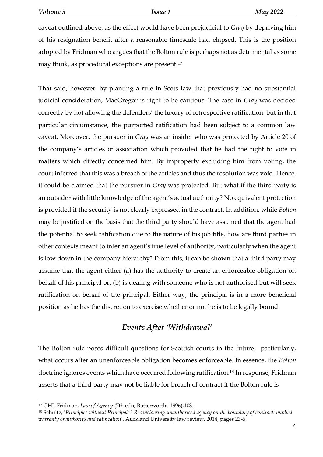caveat outlined above, as the effect would have been prejudicial to *Gray* by depriving him of his resignation benefit after a reasonable timescale had elapsed. This is the position adopted by Fridman who argues that the Bolton rule is perhaps not as detrimental as some may think, as procedural exceptions are present.<sup>17</sup>

That said, however, by planting a rule in Scots law that previously had no substantial judicial consideration, MacGregor is right to be cautious. The case in *Gray* was decided correctly by not allowing the defenders' the luxury of retrospective ratification, but in that particular circumstance, the purported ratification had been subject to a common law caveat. Moreover, the pursuer in *Gray* was an insider who was protected by Article 20 of the company's articles of association which provided that he had the right to vote in matters which directly concerned him. By improperly excluding him from voting, the court inferred that this was a breach of the articles and thus the resolution was void. Hence, it could be claimed that the pursuer in *Gray* was protected. But what if the third party is an outsider with little knowledge of the agent's actual authority? No equivalent protection is provided if the security is not clearly expressed in the contract. In addition, while *Bolton*  may be justified on the basis that the third party should have assumed that the agent had the potential to seek ratification due to the nature of his job title, how are third parties in other contexts meant to infer an agent's true level of authority, particularly when the agent is low down in the company hierarchy? From this, it can be shown that a third party may assume that the agent either (a) has the authority to create an enforceable obligation on behalf of his principal or, (b) is dealing with someone who is not authorised but will seek ratification on behalf of the principal. Either way, the principal is in a more beneficial position as he has the discretion to exercise whether or not he is to be legally bound.

# *Events After 'Withdrawal'*

The Bolton rule poses difficult questions for Scottish courts in the future; particularly, what occurs after an unenforceable obligation becomes enforceable. In essence, the *Bolton* doctrine ignores events which have occurred following ratification. <sup>18</sup> In response, Fridman asserts that a third party may not be liable for breach of contract if the Bolton rule is

<sup>17</sup> GHL Fridman, *Law of Agency* (7th edn, Butterworths 1996),103.

<sup>18</sup> Schultz, '*Principles without Principals? Reconsidering unauthorised agency on the boundary of contract: implied warranty of authority and ratification'*, Auckland University law review, 2014, pages 23-6.